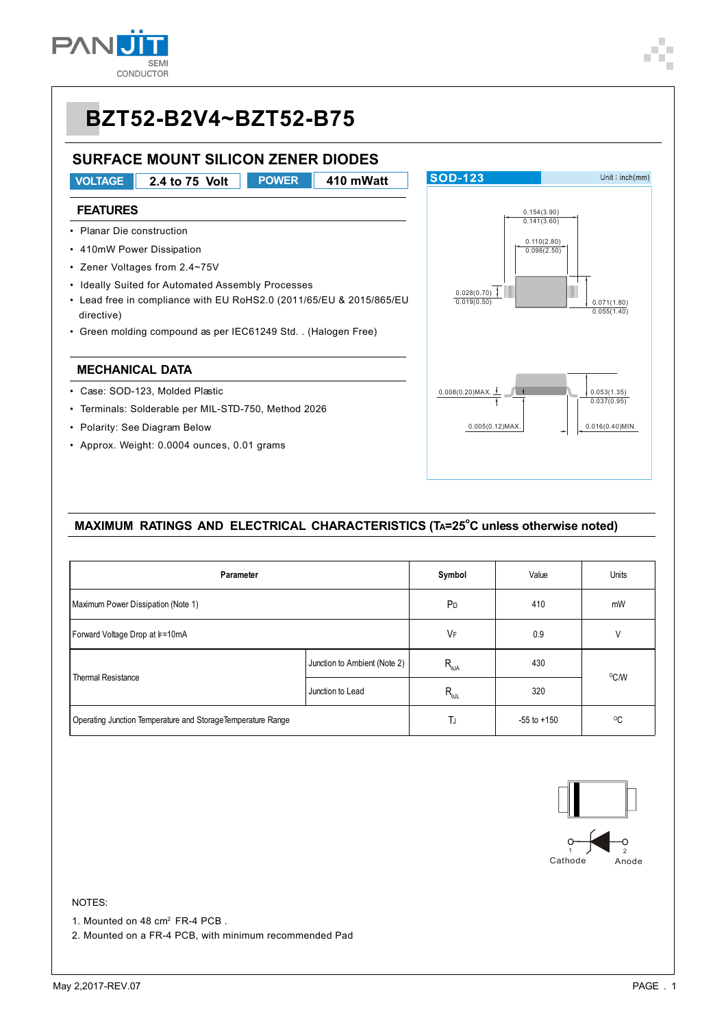

# **BZT52-B2V4~BZT52-B75**

### **SURFACE MOUNT SILICON ZENER DIODES**

- **VOLTAGE 2.4 to 75 Volt POWER 410 mWatt FEATURES** • Planar Die construction • 410mW Power Dissipation • Zener Voltages from 2.4~75V • Ideally Suited for Automated Assembly Processes • Lead free in compliance with EU RoHS2.0 (2011/65/EU & 2015/865/EU directive)
- Green molding compound as per IEC61249 Std. . (Halogen Free)

#### **MECHANICAL DATA**

- Case: SOD-123, Molded Plastic
- Terminals: Solderable per MIL-STD-750, Method 2026
- Polarity: See Diagram Below
- Approx. Weight: 0.0004 ounces, 0.01 grams



#### MAXIMUM RATINGS AND ELECTRICAL CHARACTERISTICS (TA=25<sup>°</sup>C unless otherwise noted)

| Parameter                                                    | Symbol                       | Value                    | Units           |              |  |
|--------------------------------------------------------------|------------------------------|--------------------------|-----------------|--------------|--|
| Maximum Power Dissipation (Note 1)                           | P <sub>D</sub>               | 410                      | mW              |              |  |
| Forward Voltage Drop at IF=10mA                              | VF                           | 0.9                      | V               |              |  |
|                                                              | Junction to Ambient (Note 2) | $R_{_{\theta\text{JA}}}$ | 430             | °C/W         |  |
| <b>Thermal Resistance</b>                                    | Junction to Lead             | $R_{\text{all}}$<br>320  |                 |              |  |
| Operating Junction Temperature and Storage Temperature Range |                              | TJ                       | $-55$ to $+150$ | $^{\circ}$ C |  |



#### NOTES:

1. Mounted on 48 cm<sup>2</sup> FR-4 PCB.

2. Mounted on a FR-4 PCB, with minimum recommended Pad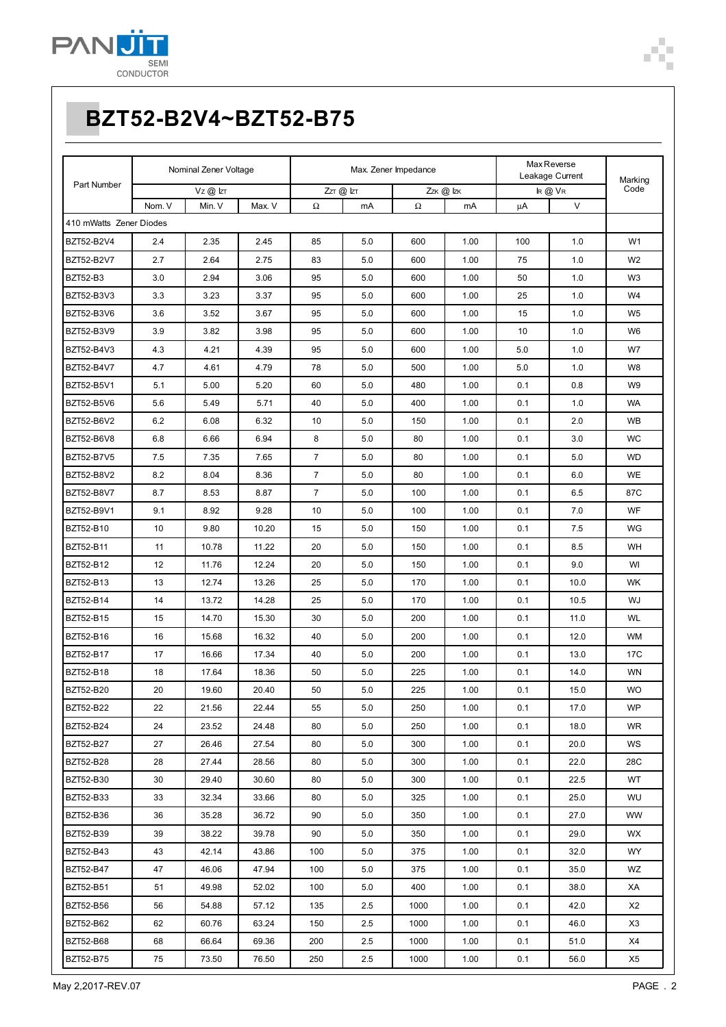

| Part Number             | Nominal Zener Voltage |              | Max. Zener Impedance |                |         | Max Reverse<br>Leakage Current |      |     |               |                 |
|-------------------------|-----------------------|--------------|----------------------|----------------|---------|--------------------------------|------|-----|---------------|-----------------|
|                         |                       | $VZ$ @ $IZT$ |                      | $ZT$ $@$ $ZT$  |         | Zzk @ Izk                      |      |     | $R$ $Q$ $V$ R | Marking<br>Code |
|                         | Nom. V                | Min. V       | Max. V               | Ω              | mA      | Ω                              | mA   | μA  | $\vee$        |                 |
| 410 mWatts Zener Diodes |                       |              |                      |                |         |                                |      |     |               |                 |
| BZT52-B2V4              | 2.4                   | 2.35         | 2.45                 | 85             | 5.0     | 600                            | 1.00 | 100 | 1.0           | W <sub>1</sub>  |
| BZT52-B2V7              | 2.7                   | 2.64         | 2.75                 | 83             | 5.0     | 600                            | 1.00 | 75  | 1.0           | W <sub>2</sub>  |
| <b>BZT52-B3</b>         | 3.0                   | 2.94         | 3.06                 | 95             | 5.0     | 600                            | 1.00 | 50  | 1.0           | W <sub>3</sub>  |
| BZT52-B3V3              | 3.3                   | 3.23         | 3.37                 | 95             | 5.0     | 600                            | 1.00 | 25  | 1.0           | W4              |
| BZT52-B3V6              | 3.6                   | 3.52         | 3.67                 | 95             | 5.0     | 600                            | 1.00 | 15  | 1.0           | W <sub>5</sub>  |
| BZT52-B3V9              | 3.9                   | 3.82         | 3.98                 | 95             | 5.0     | 600                            | 1.00 | 10  | 1.0           | W6              |
| BZT52-B4V3              | 4.3                   | 4.21         | 4.39                 | 95             | 5.0     | 600                            | 1.00 | 5.0 | 1.0           | W7              |
| BZT52-B4V7              | 4.7                   | 4.61         | 4.79                 | 78             | 5.0     | 500                            | 1.00 | 5.0 | 1.0           | W8              |
| BZT52-B5V1              | 5.1                   | 5.00         | 5.20                 | 60             | 5.0     | 480                            | 1.00 | 0.1 | 0.8           | W9              |
| BZT52-B5V6              | 5.6                   | 5.49         | 5.71                 | 40             | 5.0     | 400                            | 1.00 | 0.1 | 1.0           | WA              |
| BZT52-B6V2              | 6.2                   | 6.08         | 6.32                 | 10             | 5.0     | 150                            | 1.00 | 0.1 | 2.0           | <b>WB</b>       |
| BZT52-B6V8              | 6.8                   | 6.66         | 6.94                 | 8              | 5.0     | 80                             | 1.00 | 0.1 | 3.0           | <b>WC</b>       |
| BZT52-B7V5              | 7.5                   | 7.35         | 7.65                 | $\overline{7}$ | 5.0     | 80                             | 1.00 | 0.1 | 5.0           | <b>WD</b>       |
| BZT52-B8V2              | 8.2                   | 8.04         | 8.36                 | $\overline{7}$ | 5.0     | 80                             | 1.00 | 0.1 | 6.0           | WE              |
| BZT52-B8V7              | 8.7                   | 8.53         | 8.87                 | $\overline{7}$ | 5.0     | 100                            | 1.00 | 0.1 | 6.5           | 87C             |
| BZT52-B9V1              | 9.1                   | 8.92         | 9.28                 | 10             | 5.0     | 100                            | 1.00 | 0.1 | 7.0           | <b>WF</b>       |
| BZT52-B10               | 10                    | 9.80         | 10.20                | 15             | 5.0     | 150                            | 1.00 | 0.1 | 7.5           | WG              |
| BZT52-B11               | 11                    | 10.78        | 11.22                | 20             | 5.0     | 150                            | 1.00 | 0.1 | 8.5           | WH              |
| BZT52-B12               | 12                    | 11.76        | 12.24                | 20             | 5.0     | 150                            | 1.00 | 0.1 | 9.0           | WI              |
| BZT52-B13               | 13                    | 12.74        | 13.26                | 25             | 5.0     | 170                            | 1.00 | 0.1 | 10.0          | <b>WK</b>       |
| BZT52-B14               | 14                    | 13.72        | 14.28                | 25             | 5.0     | 170                            | 1.00 | 0.1 | 10.5          | WJ              |
| BZT52-B15               | 15                    | 14.70        | 15.30                | 30             | 5.0     | 200                            | 1.00 | 0.1 | 11.0          | WL              |
| BZT52-B16               | 16                    | 15.68        | 16.32                | 40             | 5.0     | 200                            | 1.00 | 0.1 | 12.0          | <b>WM</b>       |
| BZT52-B17               | 17                    | 16.66        | 17.34                | 40             | 5.0     | 200                            | 1.00 | 0.1 | 13.0          | 17C             |
| BZT52-B18               | 18                    | 17.64        | 18.36                | 50             | $5.0\,$ | 225                            | 1.00 | 0.1 | 14.0          | WN              |
| <b>BZT52-B20</b>        | 20                    | 19.60        | 20.40                | 50             | 5.0     | 225                            | 1.00 | 0.1 | 15.0          | <b>WO</b>       |
| BZT52-B22               | 22                    | 21.56        | 22.44                | 55             | 5.0     | 250                            | 1.00 | 0.1 | 17.0          | WP              |
| BZT52-B24               | 24                    | 23.52        | 24.48                | 80             | 5.0     | 250                            | 1.00 | 0.1 | 18.0          | <b>WR</b>       |
| BZT52-B27               | 27                    | 26.46        | 27.54                | 80             | 5.0     | 300                            | 1.00 | 0.1 | 20.0          | WS              |
| BZT52-B28               | 28                    | 27.44        | 28.56                | 80             | 5.0     | 300                            | 1.00 | 0.1 | 22.0          | 28C             |
| BZT52-B30               | 30                    | 29.40        | 30.60                | 80             | 5.0     | 300                            | 1.00 | 0.1 | 22.5          | WT              |
| BZT52-B33               | 33                    | 32.34        | 33.66                | 80             | 5.0     | 325                            | 1.00 | 0.1 | 25.0          | WU              |
| BZT52-B36               | 36                    | 35.28        | 36.72                | 90             | 5.0     | 350                            | 1.00 | 0.1 | 27.0          | WW              |
| BZT52-B39               | 39                    | 38.22        | 39.78                | 90             | 5.0     | 350                            | 1.00 | 0.1 | 29.0          | <b>WX</b>       |
| BZT52-B43               | 43                    | 42.14        | 43.86                | 100            | 5.0     | 375                            | 1.00 | 0.1 | 32.0          | WY.             |
| BZT52-B47               | 47                    | 46.06        | 47.94                | 100            | 5.0     | 375                            | 1.00 | 0.1 | 35.0          | WZ              |
| BZT52-B51               | 51                    | 49.98        | 52.02                | 100            | 5.0     | 400                            | 1.00 | 0.1 | 38.0          | XA              |
| BZT52-B56               | 56                    | 54.88        | 57.12                | 135            | 2.5     | 1000                           | 1.00 | 0.1 | 42.0          | X2              |
| BZT52-B62               | 62                    | 60.76        | 63.24                | 150            | 2.5     | 1000                           | 1.00 | 0.1 | 46.0          | X3              |
| BZT52-B68               | 68                    | 66.64        | 69.36                | 200            | 2.5     | 1000                           | 1.00 | 0.1 | 51.0          | X4              |
| BZT52-B75               | 75                    | 73.50        | 76.50                | 250            | 2.5     | 1000                           | 1.00 | 0.1 | 56.0          | X5              |

Æ.  $\blacksquare$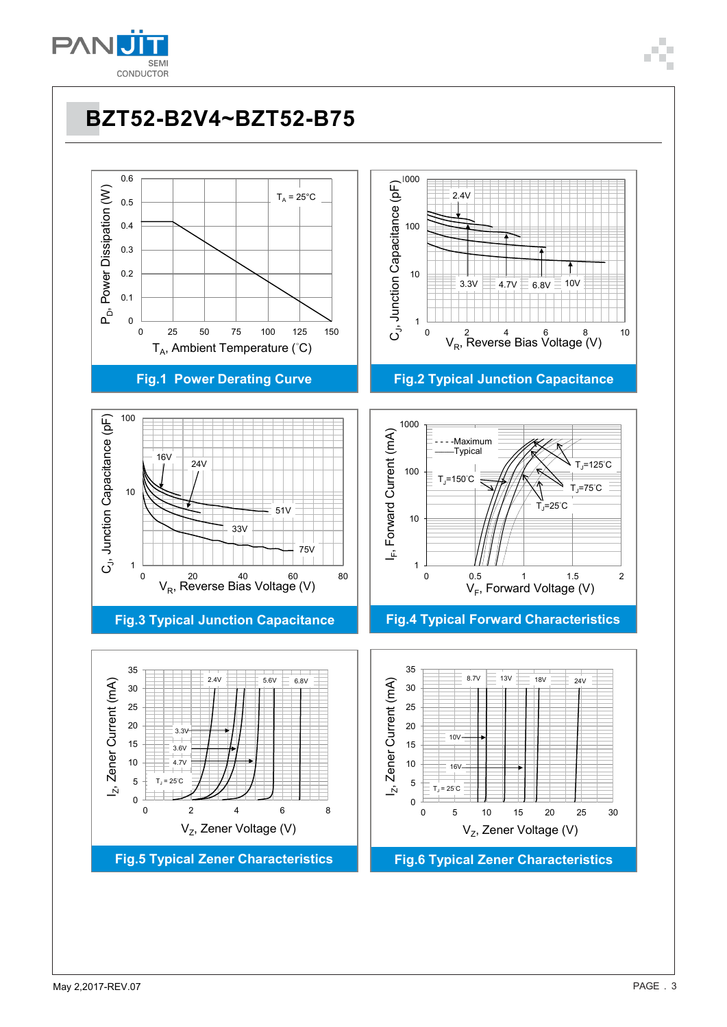

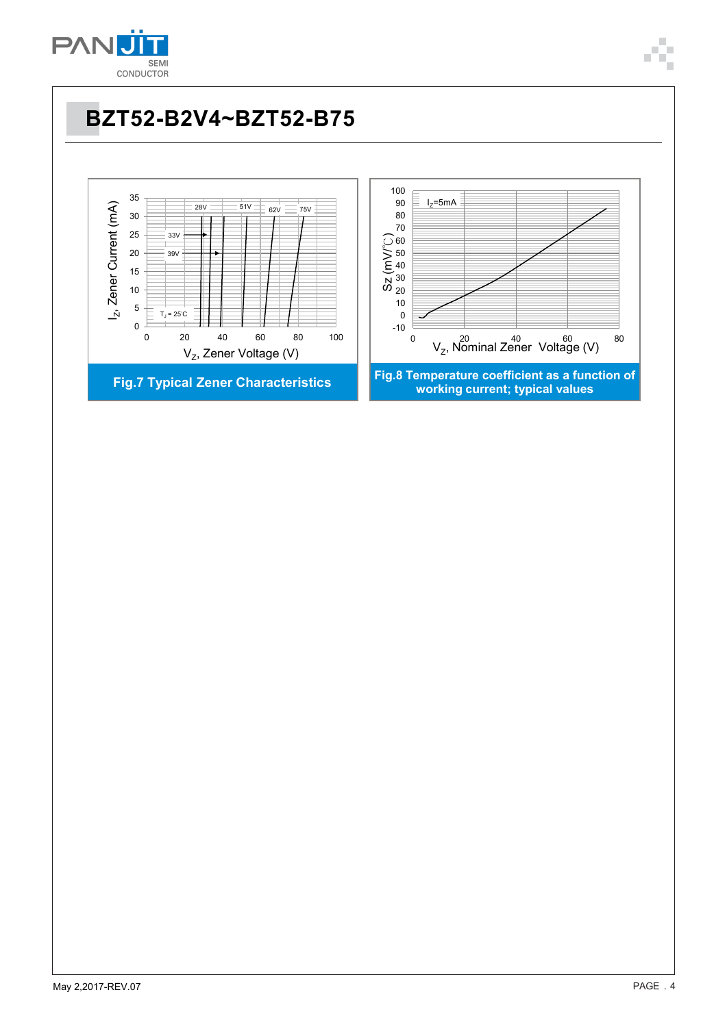

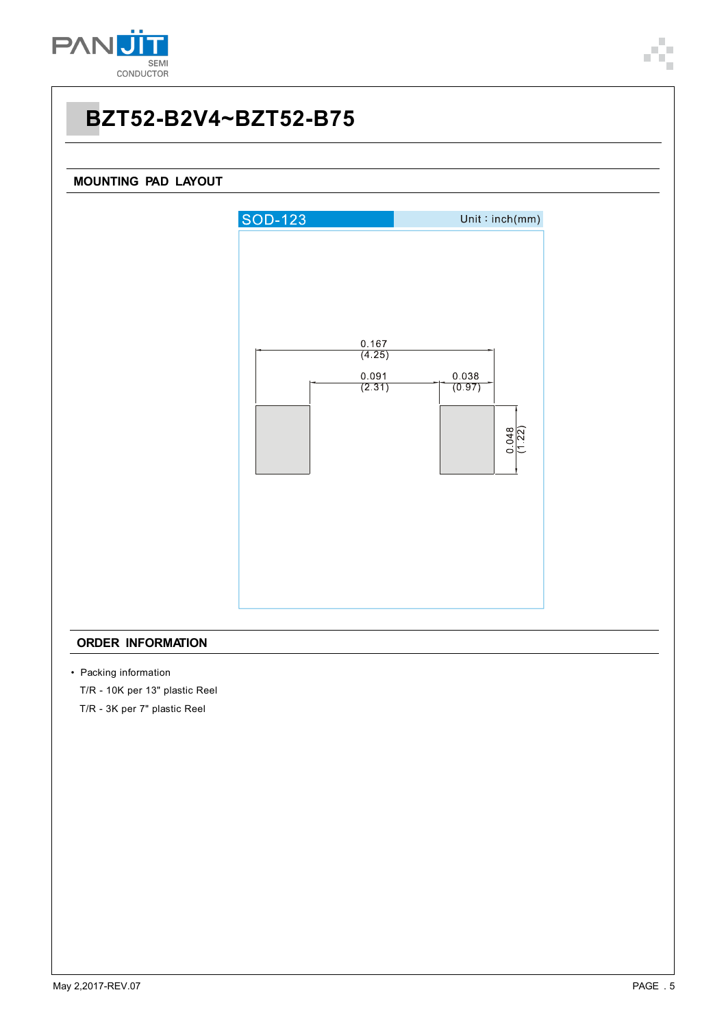

### **MOUNTING PAD LAYOUT**



#### **ORDER INFORMATION**

- Packing information
	- T/R 10K per 13" plastic Reel
	- T/R 3K per 7" plastic Reel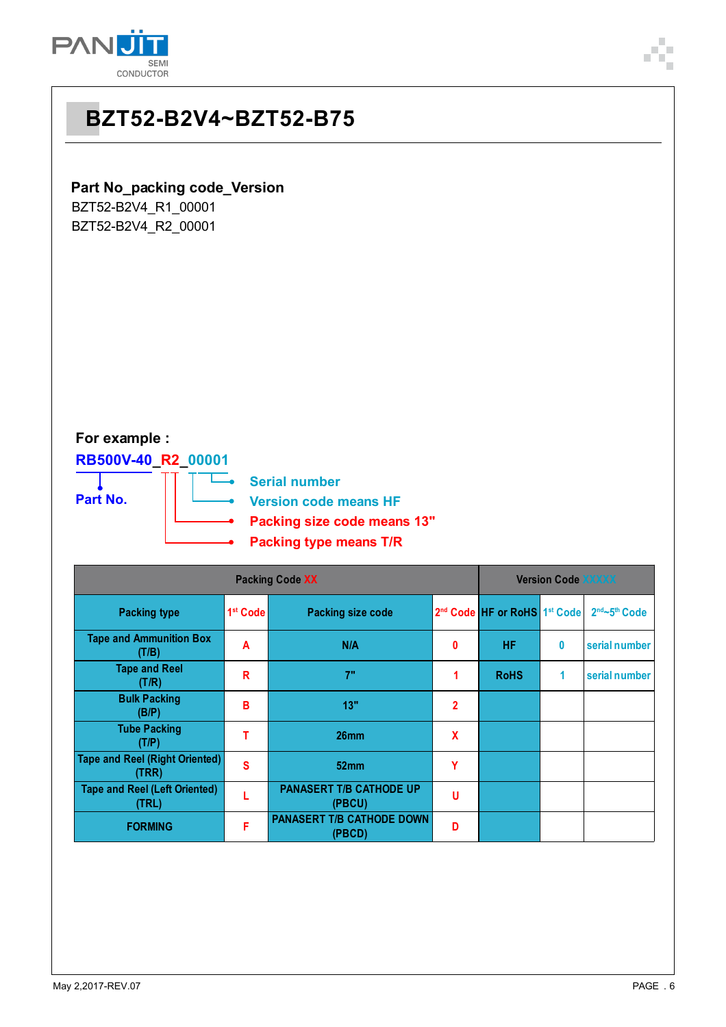



## **Part No\_packing code\_Version**

BZT52-B2V4\_R1\_00001 BZT52-B2V4\_R2\_00001

### **For example :**

**RB500V-40\_R2\_00001** т

**Part No.**

**Serial number Version code means HF**

- **Packing size code means 13"**
- **Packing type means T/R**

| <b>Packing Code XX</b>                         |                      |                                            |                |                                                      | <b>Version Code XXXXX</b> |               |  |  |
|------------------------------------------------|----------------------|--------------------------------------------|----------------|------------------------------------------------------|---------------------------|---------------|--|--|
| <b>Packing type</b>                            | 1 <sup>st</sup> Code | <b>Packing size code</b>                   |                | 2 <sup>nd</sup> Code HF or RoHS 1 <sup>st</sup> Code |                           | 2nd~5th Code  |  |  |
| <b>Tape and Ammunition Box</b><br>(T/B)        | A                    | N/A                                        | 0              | <b>HF</b>                                            | 0                         | serial number |  |  |
| <b>Tape and Reel</b><br>(T/R)                  | R                    | 7"                                         |                | <b>RoHS</b>                                          | 1                         | serial number |  |  |
| <b>Bulk Packing</b><br>(B/P)                   | В                    | 13"                                        | $\overline{2}$ |                                                      |                           |               |  |  |
| <b>Tube Packing</b><br>(T/P)                   |                      | 26 <sub>mm</sub>                           | X              |                                                      |                           |               |  |  |
| <b>Tape and Reel (Right Oriented)</b><br>(TRR) | S                    | 52mm                                       | Υ              |                                                      |                           |               |  |  |
| <b>Tape and Reel (Left Oriented)</b><br>(TRL)  |                      | <b>PANASERT T/B CATHODE UP</b><br>(PBCU)   | U              |                                                      |                           |               |  |  |
| <b>FORMING</b>                                 | F                    | <b>PANASERT T/B CATHODE DOWN</b><br>(PBCD) | D              |                                                      |                           |               |  |  |